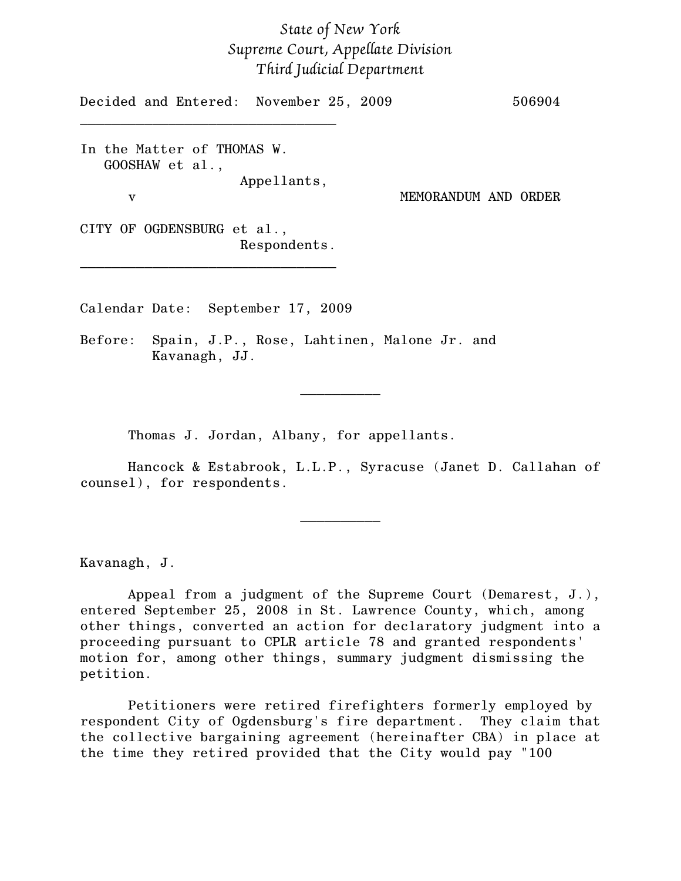## *State of New York Supreme Court, Appellate Division Third Judicial Department*

Decided and Entered: November 25, 2009 506904 \_\_\_\_\_\_\_\_\_\_\_\_\_\_\_\_\_\_\_\_\_\_\_\_\_\_\_\_\_\_\_\_ In the Matter of THOMAS W. GOOSHAW et al., Appellants, v MEMORANDUM AND ORDER CITY OF OGDENSBURG et al., Respondents.

Calendar Date: September 17, 2009

\_\_\_\_\_\_\_\_\_\_\_\_\_\_\_\_\_\_\_\_\_\_\_\_\_\_\_\_\_\_\_\_

Before: Spain, J.P., Rose, Lahtinen, Malone Jr. and Kavanagh, JJ.

Thomas J. Jordan, Albany, for appellants.

Hancock & Estabrook, L.L.P., Syracuse (Janet D. Callahan of counsel), for respondents.

\_\_\_\_\_\_\_\_\_\_

 $\frac{1}{2}$ 

Kavanagh, J.

Appeal from a judgment of the Supreme Court (Demarest, J.), entered September 25, 2008 in St. Lawrence County, which, among other things, converted an action for declaratory judgment into a proceeding pursuant to CPLR article 78 and granted respondents' motion for, among other things, summary judgment dismissing the petition.

Petitioners were retired firefighters formerly employed by respondent City of Ogdensburg's fire department. They claim that the collective bargaining agreement (hereinafter CBA) in place at the time they retired provided that the City would pay "100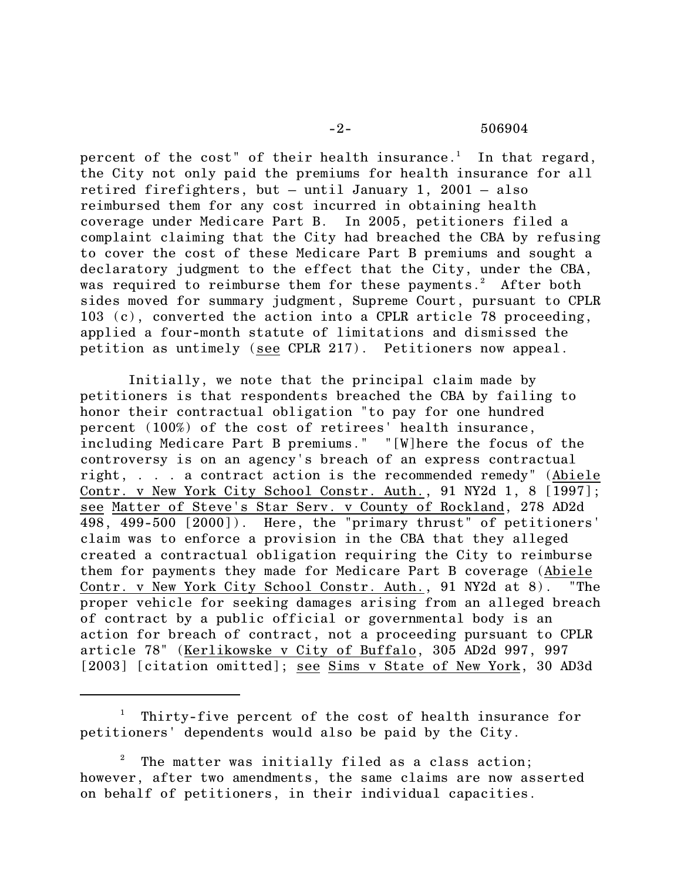-2- 506904

percent of the cost" of their health insurance.<sup>1</sup> In that regard, the City not only paid the premiums for health insurance for all retired firefighters, but – until January 1, 2001 – also reimbursed them for any cost incurred in obtaining health coverage under Medicare Part B. In 2005, petitioners filed a complaint claiming that the City had breached the CBA by refusing to cover the cost of these Medicare Part B premiums and sought a declaratory judgment to the effect that the City, under the CBA, was required to reimburse them for these payments.<sup>2</sup> After both sides moved for summary judgment, Supreme Court, pursuant to CPLR 103 (c), converted the action into a CPLR article 78 proceeding, applied a four-month statute of limitations and dismissed the petition as untimely (see CPLR 217). Petitioners now appeal.

Initially, we note that the principal claim made by petitioners is that respondents breached the CBA by failing to honor their contractual obligation "to pay for one hundred percent (100%) of the cost of retirees' health insurance, including Medicare Part B premiums." "[W]here the focus of the controversy is on an agency's breach of an express contractual right, . . . a contract action is the recommended remedy" (Abiele Contr. v New York City School Constr. Auth., 91 NY2d 1, 8 [1997]; see Matter of Steve's Star Serv. v County of Rockland, 278 AD2d 498, 499-500 [2000]). Here, the "primary thrust" of petitioners' claim was to enforce a provision in the CBA that they alleged created a contractual obligation requiring the City to reimburse them for payments they made for Medicare Part B coverage (Abiele Contr. v New York City School Constr. Auth., 91 NY2d at 8). "The proper vehicle for seeking damages arising from an alleged breach of contract by a public official or governmental body is an action for breach of contract, not a proceeding pursuant to CPLR article 78" (Kerlikowske v City of Buffalo, 305 AD2d 997, 997 [2003] [citation omitted]; see Sims v State of New York, 30 AD3d

Thirty-five percent of the cost of health insurance for <sup>1</sup> petitioners' dependents would also be paid by the City.

The matter was initially filed as a class action; 2 however, after two amendments, the same claims are now asserted on behalf of petitioners, in their individual capacities.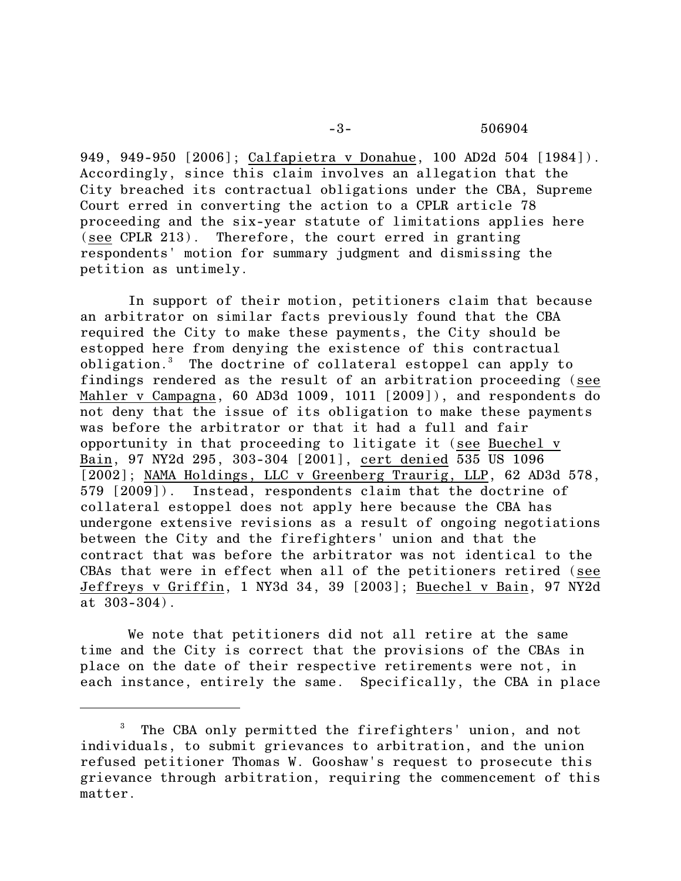## -3- 506904

949, 949-950 [2006]; Calfapietra v Donahue, 100 AD2d 504 [1984]). Accordingly, since this claim involves an allegation that the City breached its contractual obligations under the CBA, Supreme Court erred in converting the action to a CPLR article 78 proceeding and the six-year statute of limitations applies here (see CPLR 213). Therefore, the court erred in granting respondents' motion for summary judgment and dismissing the petition as untimely.

In support of their motion, petitioners claim that because an arbitrator on similar facts previously found that the CBA required the City to make these payments, the City should be estopped here from denying the existence of this contractual obligation.<sup>3</sup> The doctrine of collateral estoppel can apply to findings rendered as the result of an arbitration proceeding (see Mahler v Campagna, 60 AD3d 1009, 1011 [2009]), and respondents do not deny that the issue of its obligation to make these payments was before the arbitrator or that it had a full and fair opportunity in that proceeding to litigate it (see Buechel v Bain, 97 NY2d 295, 303-304 [2001], cert denied 535 US 1096 [2002]; NAMA Holdings, LLC v Greenberg Traurig, LLP, 62 AD3d 578, 579 [2009]). Instead, respondents claim that the doctrine of collateral estoppel does not apply here because the CBA has undergone extensive revisions as a result of ongoing negotiations between the City and the firefighters' union and that the contract that was before the arbitrator was not identical to the CBAs that were in effect when all of the petitioners retired (see Jeffreys v Griffin, 1 NY3d 34, 39 [2003]; Buechel v Bain, 97 NY2d at 303-304).

We note that petitioners did not all retire at the same time and the City is correct that the provisions of the CBAs in place on the date of their respective retirements were not, in each instance, entirely the same. Specifically, the CBA in place

<sup>&</sup>lt;sup>3</sup> The CBA only permitted the firefighters' union, and not individuals, to submit grievances to arbitration, and the union refused petitioner Thomas W. Gooshaw's request to prosecute this grievance through arbitration, requiring the commencement of this matter.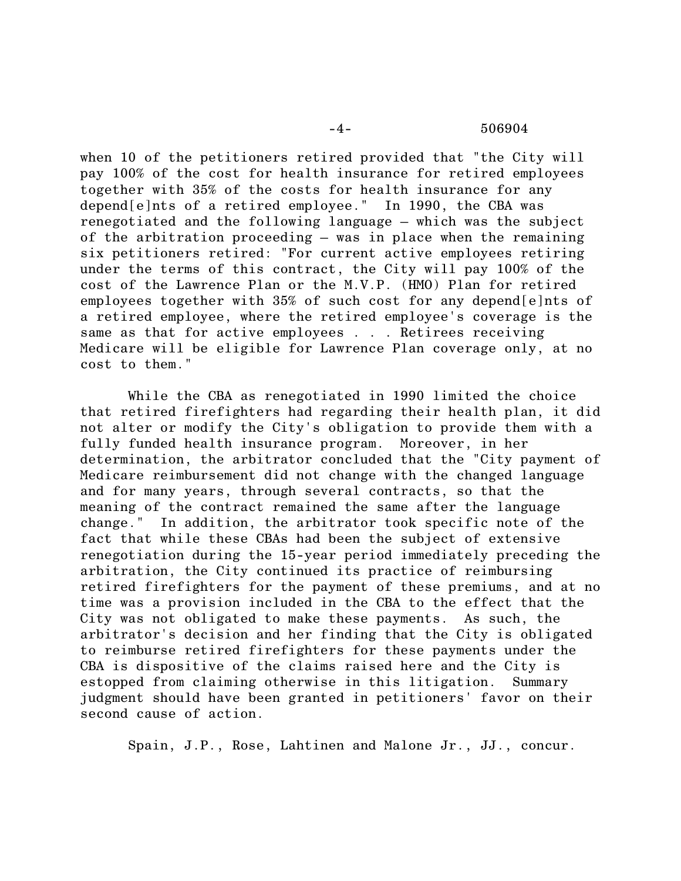when 10 of the petitioners retired provided that "the City will pay 100% of the cost for health insurance for retired employees together with 35% of the costs for health insurance for any depend[e]nts of a retired employee." In 1990, the CBA was renegotiated and the following language – which was the subject of the arbitration proceeding – was in place when the remaining six petitioners retired: "For current active employees retiring under the terms of this contract, the City will pay 100% of the cost of the Lawrence Plan or the M.V.P. (HMO) Plan for retired employees together with 35% of such cost for any depend[e]nts of a retired employee, where the retired employee's coverage is the same as that for active employees . . . Retirees receiving Medicare will be eligible for Lawrence Plan coverage only, at no cost to them."

While the CBA as renegotiated in 1990 limited the choice that retired firefighters had regarding their health plan, it did not alter or modify the City's obligation to provide them with a fully funded health insurance program. Moreover, in her determination, the arbitrator concluded that the "City payment of Medicare reimbursement did not change with the changed language and for many years, through several contracts, so that the meaning of the contract remained the same after the language change." In addition, the arbitrator took specific note of the fact that while these CBAs had been the subject of extensive renegotiation during the 15-year period immediately preceding the arbitration, the City continued its practice of reimbursing retired firefighters for the payment of these premiums, and at no time was a provision included in the CBA to the effect that the City was not obligated to make these payments. As such, the arbitrator's decision and her finding that the City is obligated to reimburse retired firefighters for these payments under the CBA is dispositive of the claims raised here and the City is estopped from claiming otherwise in this litigation. Summary judgment should have been granted in petitioners' favor on their second cause of action.

Spain, J.P., Rose, Lahtinen and Malone Jr., JJ., concur.